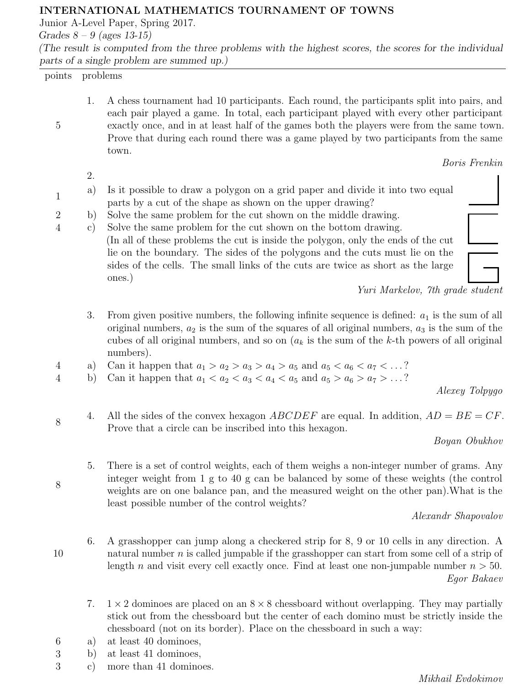## INTERNATIONAL MATHEMATICS TOURNAMENT OF TOWNS

Junior A-Level Paper, Spring 2017.

Grades  $8 - 9$  (ages 13-15)

(The result is computed from the three problems with the highest scores, the scores for the individual parts of a single problem are summed up.)

points problems

5

1

1. A chess tournament had 10 participants. Each round, the participants split into pairs, and each pair played a game. In total, each participant played with every other participant exactly once, and in at least half of the games both the players were from the same town. Prove that during each round there was a game played by two participants from the same town.

2.

- a) Is it possible to draw a polygon on a grid paper and divide it into two equal parts by a cut of the shape as shown on the upper drawing?
- 2 b) Solve the same problem for the cut shown on the middle drawing.
- 4 c) Solve the same problem for the cut shown on the bottom drawing. (In all of these problems the cut is inside the polygon, only the ends of the cut lie on the boundary. The sides of the polygons and the cuts must lie on the sides of the cells. The small links of the cuts are twice as short as the large ones.)





- 3. From given positive numbers, the following infinite sequence is defined:  $a_1$  is the sum of all original numbers,  $a_2$  is the sum of the squares of all original numbers,  $a_3$  is the sum of the cubes of all original numbers, and so on  $(a_k)$  is the sum of the k-th powers of all original numbers).
- 4 a) Can it happen that  $a_1 > a_2 > a_3 > a_4 > a_5$  and  $a_5 < a_6 < a_7 < ...$ ?
- 4 b) Can it happen that  $a_1 < a_2 < a_3 < a_4 < a_5$  and  $a_5 > a_6 > a_7 > ...$ ?

Alexey Tolpygo

4. All the sides of the convex hexagon ABCDEF are equal. In addition,  $AD = BE = CF$ . Prove that a circle can be inscribed into this hexagon.

## Boyan Obukhov

5. There is a set of control weights, each of them weighs a non-integer number of grams. Any integer weight from 1 g to 40 g can be balanced by some of these weights (the control weights are on one balance pan, and the measured weight on the other pan).What is the least possible number of the control weights?

Alexandr Shapovalov

10

8

8

- 6. A grasshopper can jump along a checkered strip for 8, 9 or 10 cells in any direction. A natural number  $n$  is called jumpable if the grasshopper can start from some cell of a strip of length *n* and visit every cell exactly once. Find at least one non-jumpable number  $n > 50$ . Egor Bakaev
- 7.  $1 \times 2$  dominoes are placed on an  $8 \times 8$  chessboard without overlapping. They may partially stick out from the chessboard but the center of each domino must be strictly inside the chessboard (not on its border). Place on the chessboard in such a way:
- 6 a) at least 40 dominoes,
- 3 b) at least 41 dominoes,
- 3 c) more than 41 dominoes.